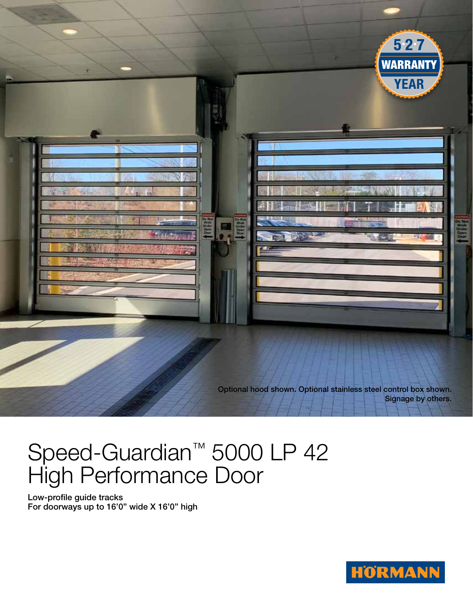

Optional hood shown. Optional stainless steel control box shown. Signage by others.

## Speed-Guardian™ 5000 LP 42 High Performance Door

Low-profile guide tracks For doorways up to 16'0" wide X 16'0" high